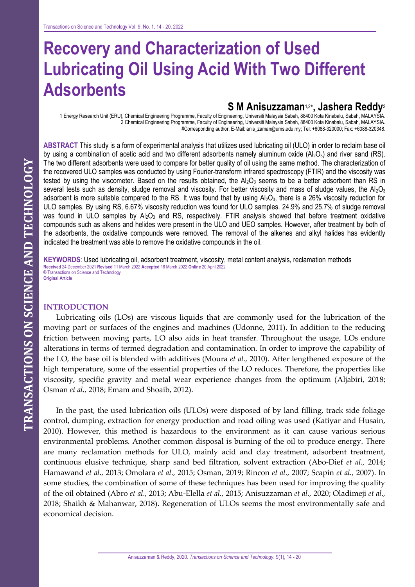# **Recovery and Characterization of Used Lubricating Oil Using Acid With Two Different Adsorbents**

# **S M Anisuzzaman**1,2 \***, Jashera Reddy**<sup>2</sup>

1 Energy Research Unit (ERU), Chemical Engineering Programme, Faculty of Engineering, Universiti Malaysia Sabah, 88400 Kota Kinabalu, Sabah, MALAYSIA. 2 Chemical Engineering Programme, Faculty of Engineering, Universiti Malaysia Sabah, 88400 Kota Kinabalu, Sabah, MALAYSIA. #Corresponding author. E-Mail: anis\_zaman@ums.edu.my; Tel: +6088-320000; Fax: +6088-320348.

**ABSTRACT** This study is a form of experimental analysis that utilizes used lubricating oil (ULO) in order to reclaim base oil by using a combination of acetic acid and two different adsorbents namely aluminum oxide  $(A_2O_3)$  and river sand (RS). The two different adsorbents were used to compare for better quality of oil using the same method. The characterization of the recovered ULO samples was conducted by using Fourier-transform infrared spectroscopy (FTIR) and the viscosity was tested by using the viscometer. Based on the results obtained, the  $Al_2O_3$  seems to be a better adsorbent than RS in several tests such as density, sludge removal and viscosity. For better viscosity and mass of sludge values, the Al<sub>2</sub>O<sub>3</sub> adsorbent is more suitable compared to the RS. It was found that by using  $Al_2O_3$ , there is a 26% viscosity reduction for ULO samples. By using RS, 6.67% viscosity reduction was found for ULO samples. 24.9% and 25.7% of sludge removal was found in ULO samples by  $A_2O_3$  and RS, respectively. FTIR analysis showed that before treatment oxidative compounds such as alkens and helides were present in the ULO and UEO samples. However, after treatment by both of the adsorbents, the oxidative compounds were removed. The removal of the alkenes and alkyl halides has evidently indicated the treatment was able to remove the oxidative compounds in the oil.

**KEYWORDS**: Used lubricating oil, adsorbent treatment, viscosity, metal content analysis, reclamation methods **Received** 24 December 2021 **Revised** 11 March 2022 **Accepted** 16 March 2022 **Online** 20 April 2022 **©** Transactions on Science and Technology **Original Article**

### **INTRODUCTION**

Lubricating oils (LOs) are viscous liquids that are commonly used for the lubrication of the moving part or surfaces of the engines and machines (Udonne, 2011). In addition to the reducing friction between moving parts, LO also aids in heat transfer. Throughout the usage, LOs endure alterations in terms of termed degradation and contamination. In order to improve the capability of the LO, the base oil is blended with additives (Moura *et al.,* 2010). After lengthened exposure of the high temperature, some of the essential properties of the LO reduces. Therefore, the properties like viscosity, specific gravity and metal wear experience changes from the optimum (Aljabiri, 2018; Osman *et al.,* 2018; Emam and Shoaib, 2012).

In the past, the used lubrication oils (ULOs) were disposed of by land filling, track side foliage control, dumping, extraction for energy production and road oiling was used (Katiyar and Husain, 2010). However, this method is hazardous to the environment as it can cause various serious environmental problems. Another common disposal is burning of the oil to produce energy. There are many reclamation methods for ULO, mainly acid and clay treatment, adsorbent treatment, continuous elusive technique, sharp sand bed filtration, solvent extraction (Abo-Dief *et al.,* 2014; Hamawand *et al.,* 2013; Omolara *et al.,* 2015; Osman, 2019; [Rincon](https://www.researchgate.net/profile/Jesusa_Rincon?_sg%5B0%5D=A4IpcZgaL8FVWI5ksXeg5h2LLza9N73LppXZQIhICtp27gj5UHpifJyIEFG-R9a5lJ51Wfc.GJbApbBEtrCU8sxq_iu-B5-sfTJ4DCR8gtjcOmNPTJLvzk_1zmUlBp3LgqcnEvf-DcjrR6AuDAMOXww8AOqurg&_sg%5B1%5D=NVb9uQD7NB2FvU4W0XFeziWGSsIpyn9_7ij-s0y1OWzwgD3_GR4qnAx-ux-5cxxqc8_ysH0.JhXoGd4TwHIdBY7QkeIGMnSA01ocjYhMKsTUNtVRe8UBsgTOiQ0nd4T9c9Y9bX4XAIk5L52YglEgrsEnrTBq4w) *et al.,* 2007; Scapin *et al.,* 2007). In some studies, the combination of some of these techniques has been used for improving the quality of the oil obtained (Abro *et al.,* 2013; Abu-Elella *et al.,* 2015; Anisuzzaman *et al.,* 2020; Oladimeji *et al.,* 2018; Shaikh & Mahanwar, 2018). Regeneration of ULOs seems the most environmentally safe and economical decision.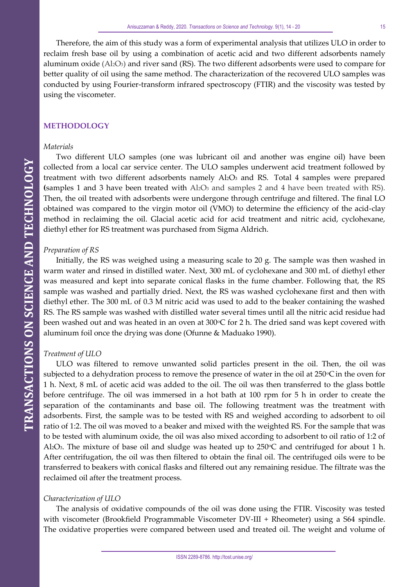Therefore, the aim of this study was a form of experimental analysis that utilizes ULO in order to reclaim fresh base oil by using a combination of acetic acid and two different adsorbents namely aluminum oxide (Al2O3) and river sand (RS). The two different adsorbents were used to compare for better quality of oil using the same method. The characterization of the recovered ULO samples was conducted by using Fourier-transform infrared spectroscopy (FTIR) and the viscosity was tested by using the viscometer.

# **METHODOLOGY**

#### *Materials*

Two different ULO samples (one was lubricant oil and another was engine oil) have been collected from a local car service center. The ULO samples underwent acid treatment followed by treatment with two different adsorbents namely Al2O3 and RS. Total 4 samples were prepared **(**samples 1 and 3 have been treated with Al2O<sup>3</sup> and samples 2 and 4 have been treated with RS). Then, the oil treated with adsorbents were undergone through centrifuge and filtered. The final LO obtained was compared to the virgin motor oil (VMO) to determine the efficiency of the acid-clay method in reclaiming the oil. Glacial acetic acid for acid treatment and nitric acid, cyclohexane, diethyl ether for RS treatment was purchased from Sigma Aldrich.

#### *Preparation of RS*

Initially, the RS was weighed using a measuring scale to 20 g. The sample was then washed in warm water and rinsed in distilled water. Next, 300 mL of cyclohexane and 300 mL of diethyl ether was measured and kept into separate conical flasks in the fume chamber. Following that, the RS sample was washed and partially dried. Next, the RS was washed cyclohexane first and then with diethyl ether. The 300 mL of 0.3 M nitric acid was used to add to the beaker containing the washed RS. The RS sample was washed with distilled water several times until all the nitric acid residue had been washed out and was heated in an oven at 300°C for 2 h. The dried sand was kept covered with aluminum foil once the drying was done (Ofunne & Maduako 1990).

#### *Treatment of ULO*

ULO was filtered to remove unwanted solid particles present in the oil. Then, the oil was subjected to a dehydration process to remove the presence of water in the oil at  $250^{\circ}$ C in the oven for 1 h. Next, 8 mL of acetic acid was added to the oil. The oil was then transferred to the glass bottle before centrifuge. The oil was immersed in a hot bath at 100 rpm for 5 h in order to create the separation of the contaminants and base oil. The following treatment was the treatment with adsorbents. First, the sample was to be tested with RS and weighed according to adsorbent to oil ratio of 1:2. The oil was moved to a beaker and mixed with the weighted RS. For the sample that was to be tested with aluminum oxide, the oil was also mixed according to adsorbent to oil ratio of 1:2 of Al2O<sub>3</sub>. The mixture of base oil and sludge was heated up to 250°C and centrifuged for about 1 h. After centrifugation, the oil was then filtered to obtain the final oil. The centrifuged oils were to be transferred to beakers with conical flasks and filtered out any remaining residue. The filtrate was the reclaimed oil after the treatment process.

#### *Characterization of ULO*

The analysis of oxidative compounds of the oil was done using the FTIR. Viscosity was tested with viscometer (Brookfield Programmable Viscometer DV-III + Rheometer) using a S64 spindle. The oxidative properties were compared between used and treated oil. The weight and volume of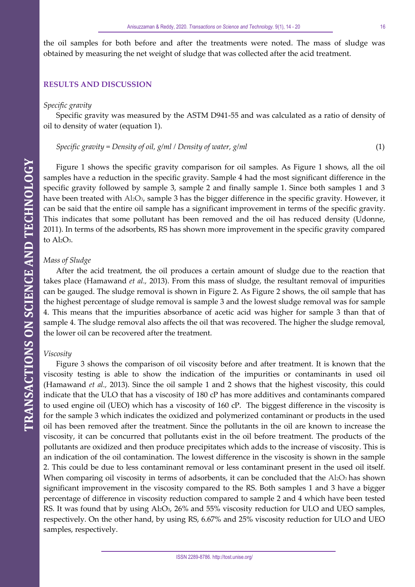the oil samples for both before and after the treatments were noted. The mass of sludge was obtained by measuring the net weight of sludge that was collected after the acid treatment.

#### **RESULTS AND DISCUSSION**

#### *Specific gravity*

Specific gravity was measured by the ASTM D941-55 and was calculated as a ratio of density of oil to density of water (equation 1).

*Specific gravity* = Density of oil, 
$$
g/ml / Density of water, g/ml
$$
 (1)

Figure 1 shows the specific gravity comparison for oil samples. As Figure 1 shows, all the oil samples have a reduction in the specific gravity. Sample 4 had the most significant difference in the specific gravity followed by sample 3, sample 2 and finally sample 1. Since both samples 1 and 3 have been treated with Al2O<sub>3</sub>, sample 3 has the bigger difference in the specific gravity. However, it can be said that the entire oil sample has a significant improvement in terms of the specific gravity. This indicates that some pollutant has been removed and the oil has reduced density (Udonne, 2011). In terms of the adsorbents, RS has shown more improvement in the specific gravity compared to Al<sub>2</sub>O<sub>3</sub>.

#### *Mass of Sludge*

After the acid treatment, the oil produces a certain amount of sludge due to the reaction that takes place (Hamawand *et al.,* 2013). From this mass of sludge, the resultant removal of impurities can be gauged. The sludge removal is shown in Figure 2. As Figure 2 shows, the oil sample that has the highest percentage of sludge removal is sample 3 and the lowest sludge removal was for sample 4. This means that the impurities absorbance of acetic acid was higher for sample 3 than that of sample 4. The sludge removal also affects the oil that was recovered. The higher the sludge removal, the lower oil can be recovered after the treatment.

#### *Viscosity*

Figure 3 shows the comparison of oil viscosity before and after treatment. It is known that the viscosity testing is able to show the indication of the impurities or contaminants in used oil (Hamawand *et al.,* 2013). Since the oil sample 1 and 2 shows that the highest viscosity, this could indicate that the ULO that has a viscosity of 180 cP has more additives and contaminants compared to used engine oil (UEO) which has a viscosity of 160 cP. The biggest difference in the viscosity is for the sample 3 which indicates the oxidized and polymerized contaminant or products in the used oil has been removed after the treatment. Since the pollutants in the oil are known to increase the viscosity, it can be concurred that pollutants exist in the oil before treatment. The products of the pollutants are oxidized and then produce precipitates which adds to the increase of viscosity. This is an indication of the oil contamination. The lowest difference in the viscosity is shown in the sample 2. This could be due to less contaminant removal or less contaminant present in the used oil itself. When comparing oil viscosity in terms of adsorbents, it can be concluded that the  $Al_2O_3$  has shown significant improvement in the viscosity compared to the RS. Both samples 1 and 3 have a bigger percentage of difference in viscosity reduction compared to sample 2 and 4 which have been tested RS. It was found that by using Al2O<sub>3</sub>, 26% and 55% viscosity reduction for ULO and UEO samples, respectively. On the other hand, by using RS, 6.67% and 25% viscosity reduction for ULO and UEO samples, respectively.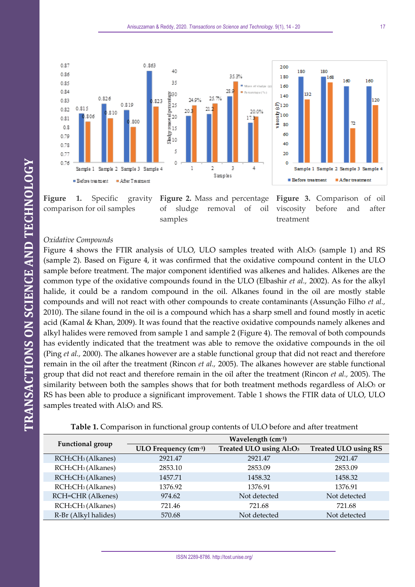

**Figure 1.** Specific gravity comparison for oil samples

**Figure 2.** Mass and percentage of sludge removal of oil samples

**Figure 3.** Comparison of oil viscosity before and after treatment

# *Oxidative Compounds*

Figure 4 shows the FTIR analysis of ULO, ULO samples treated with  $Al_2O_3$  (sample 1) and RS (sample 2). Based on Figure 4, it was confirmed that the oxidative compound content in the ULO sample before treatment. The major component identified was alkenes and halides. Alkenes are the common type of the oxidative compounds found in the ULO (Elbashir *et al.,* 2002). As for the alkyl halide, it could be a random compound in the oil. Alkanes found in the oil are mostly stable compounds and will not react with other compounds to create contaminants (Assunção Filho *et al.,* 2010). The silane found in the oil is a compound which has a sharp smell and found mostly in acetic acid (Kamal & Khan, 2009). It was found that the reactive oxidative compounds namely alkenes and alkyl halides were removed from sample 1 and sample 2 (Figure 4). The removal of both compounds has evidently indicated that the treatment was able to remove the oxidative compounds in the oil (Ping *et al.,* 2000). The alkanes however are a stable functional group that did not react and therefore remain in the oil after the treatment (Rincon *et al.,* 2005). The alkanes however are stable functional group that did not react and therefore remain in the oil after the treatment (Rincon *et al.,* 2005). The similarity between both the samples shows that for both treatment methods regardless of Al2O3 or RS has been able to produce a significant improvement. Table 1 shows the FTIR data of ULO, ULO samples treated with Al<sub>2</sub>O<sub>3</sub> and RS.

**Table 1.** Comparison in functional group contents of ULO before and after treatment

| Functional group                           | Wavelength (cm-1)    |                         |                             |
|--------------------------------------------|----------------------|-------------------------|-----------------------------|
|                                            | ULO Frequency (cm-1) | Treated ULO using Al2O3 | <b>Treated ULO using RS</b> |
| RCH <sub>2</sub> CH <sub>3</sub> (Alkanes) | 2921.47              | 2921.47                 | 2921.47                     |
| RCH <sub>2</sub> CH <sub>3</sub> (Alkanes) | 2853.10              | 2853.09                 | 2853.09                     |
| RCH <sub>2</sub> CH <sub>3</sub> (Alkanes) | 1457.71              | 1458.32                 | 1458.32                     |
| RCH <sub>2</sub> CH <sub>3</sub> (Alkanes) | 1376.92              | 1376.91                 | 1376.91                     |
| RCH=CHR (Alkenes)                          | 974.62               | Not detected            | Not detected                |
| RCH <sub>2</sub> CH <sub>3</sub> (Alkanes) | 721.46               | 721.68                  | 721.68                      |
| R-Br (Alkyl halides)                       | 570.68               | Not detected            | Not detected                |

160

 $20^{12}$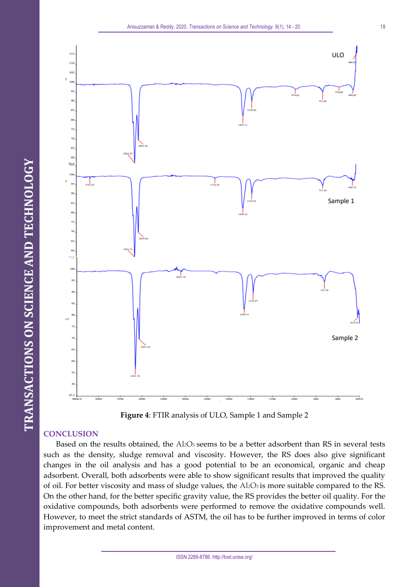



**Figure 4**: FTIR analysis of ULO, Sample 1 and Sample 2

# **CONCLUSION**

Based on the results obtained, the Al2O3 seems to be a better adsorbent than RS in several tests such as the density, sludge removal and viscosity. However, the RS does also give significant changes in the oil analysis and has a good potential to be an economical, organic and cheap adsorbent. Overall, both adsorbents were able to show significant results that improved the quality of oil. For better viscosity and mass of sludge values, the Al2O3 is more suitable compared to the RS. On the other hand, for the better specific gravity value, the RS provides the better oil quality. For the oxidative compounds, both adsorbents were performed to remove the oxidative compounds well. However, to meet the strict standards of ASTM, the oil has to be further improved in terms of color improvement and metal content.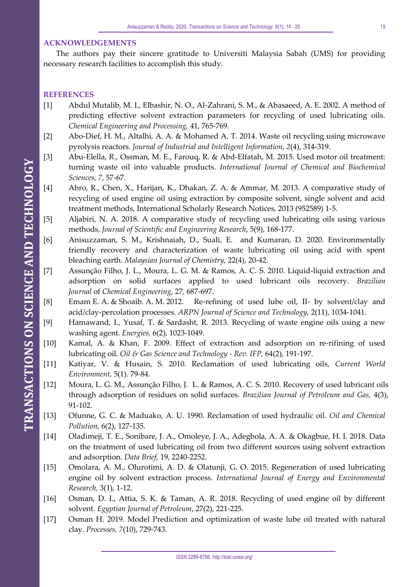#### **ACKNOWLEDGEMENTS**

The authors pay their sincere gratitude to Universiti Malaysia Sabah (UMS) for providing necessary research facilities to accomplish this study.

# **REFERENCES**

- [1] Abdul Mutalib, M. I., Elbashir, N. O., Al-Zahrani, S. M., & Abasaeed, A. E. 2002. A method of predicting effective solvent extraction parameters for recycling of used lubricating oils. *Chemical Engineering and Processing,* 41, 765-769.
- [2] Abo-Dief, H. M., Altalhi, A. A. & Mohamed A. T. 2014. Waste oil recycling using microwave pyrolysis reactors. *Journal of Industrial and Intelligent Information, 2*(4), 314-319.
- [3] Abu-Elella, R., Ossman, M. E., Farouq, R. & Abd-Elfatah, M. 2015. Used motor oil treatment: turning waste oil into valuable products. *International Journal of Chemical and Biochemical Sciences, 7*, 57-67.
- [4] Abro, R., Chen, X., Harijan, K., Dhakan, Z. A. & Ammar, M. 2013. A comparative study of recycling of used engine oil using extraction by composite solvent, single solvent and acid treatment methods, International Scholarly Research Notices, 2013 (952589) 1-5.
- [5] Aljabiri, N. A. 2018. A comparative study of recycling used lubricating oils using various methods, *Journal of Scientific and Engineering Research*, 5(9), 168-177.
- [6] Anisuzzaman, S. M., Krishnaiah, D., Suali, [E.](http://www.sciencedirect.com/science/article/pii/S2212371716301251) and Kumaran, D. 2020. Environmentally friendly recovery and characterization of waste lubricating oil using acid with spent bleaching earth. *Malaysian Journal of Chemistry,* 22(4), 20-42.
- [7] Assunção Filho, J. L., Moura, L. G. M. & Ramos, A. C. S. 2010. Liquid-liquid extraction and adsorption on solid surfaces applied to used lubricant oils recovery. *Brazilian Journal* of *Chemical Engineering*, 27, 687-697.
- [8] Emam E. A. & Shoaib. A. M. 2012. Re-refining of used lube oil, II- by solvent/clay and acid/clay-percolation processes. *ARPN Journal of Science and Technology,* 2(11), 1034-1041.
- [9] Hamawand, I., Yusaf, T. & Sardasht, R. 2013. Recycling of waste engine oils using a new washing agent*. Energies,* 6(2), 1023-1049.
- [10] Kamal, A. & Khan, F. 2009. Effect of extraction and adsorption on re-rifining of used lubricating oil. *Oil & Gas Science and Technology - Rev. IFP,* 64(2), 191-197.
- [11] Katiyar, V. & Husain, S. 2010. Reclamation of used lubricating oils, *Current World Environment,* 5(1). 79-84.
- [12] Moura, L. G. M., Assunção Filho, J. L. & Ramos, A. C. S. 2010. Recovery of used lubricant oils through adsorption of residues on solid surfaces. *Brazilian Journal of Petroleum and Gas,* 4(3), 91-102.
- [13] Ofunne, [G. C.](https://www.sciencedirect.com/science/article/pii/S0269857905800140#!) & Maduako, [A. U.](https://www.sciencedirect.com/science/article/pii/S0269857905800140#!) 1990. Reclamation of used hydraulic oil. *[Oil and Chemical](https://www.sciencedirect.com/science/journal/02698579)  [Pollution,](https://www.sciencedirect.com/science/journal/02698579)* 6(2), 127-135.
- [14] Oladimeji, T. E., Sonibare, J. A., Omoleye, J. A., Adegbola, A. A. & Okagbue, H. I. 2018. Data on the treatment of used lubricating oil from two different sources using solvent extraction and adsorption. *Data Brief,* 19, 2240-2252.
- [15] Omolara, A. M., Olurotimi, A. D. & Olatunji, G. O. 2015. Regeneration of used lubricating engine oil by solvent extraction process. *International Journal of Energy and Environmental Research,* 3(1), 1-12.
- [16] Osman, D. I., Attia, S. K. & Taman, A. R. 2018. Recycling of used engine oil by different solvent. *Egyptian Journal of Petroleum*, 27(2), 221-225.
- [17] Osman H. 2019. Model Prediction and optimization of waste lube oil treated with natural clay. *Processes, 7*(10), 729-743.